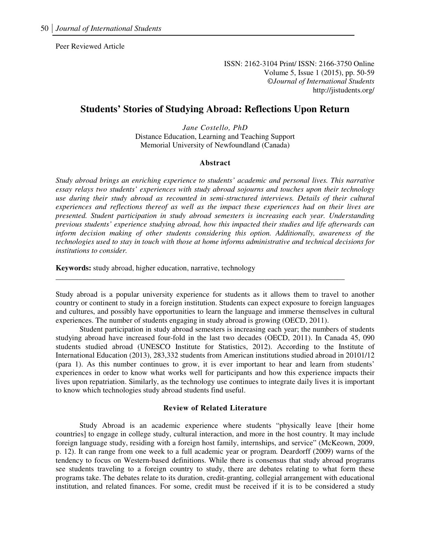Peer Reviewed Article

ISSN: 2162-3104 Print/ ISSN: 2166-3750 Online Volume 5, Issue 1 (2015), pp. 50-59 ©*Journal of International Students* http://jistudents.org/

### **Students' Stories of Studying Abroad: Reflections Upon Return**

*Jane Costello, PhD*  Distance Education, Learning and Teaching Support Memorial University of Newfoundland (Canada)

#### **Abstract**

*Study abroad brings an enriching experience to students' academic and personal lives. This narrative essay relays two students' experiences with study abroad sojourns and touches upon their technology use during their study abroad as recounted in semi-structured interviews. Details of their cultural experiences and reflections thereof as well as the impact these experiences had on their lives are presented. Student participation in study abroad semesters is increasing each year. Understanding previous students' experience studying abroad, how this impacted their studies and life afterwards can inform decision making of other students considering this option. Additionally, awareness of the technologies used to stay in touch with those at home informs administrative and technical decisions for institutions to consider.* 

**Keywords:** study abroad, higher education, narrative, technology

Study abroad is a popular university experience for students as it allows them to travel to another country or continent to study in a foreign institution. Students can expect exposure to foreign languages and cultures, and possibly have opportunities to learn the language and immerse themselves in cultural experiences. The number of students engaging in study abroad is growing (OECD, 2011).

\_\_\_\_\_\_\_\_\_\_\_\_\_\_\_\_\_\_\_\_\_\_\_\_\_\_\_\_\_\_\_\_\_\_\_\_\_\_\_\_\_\_\_\_\_\_\_\_\_\_\_\_\_\_\_\_\_\_\_\_\_\_\_\_\_\_\_\_\_\_\_\_\_\_\_\_

Student participation in study abroad semesters is increasing each year; the numbers of students studying abroad have increased four-fold in the last two decades (OECD, 2011). In Canada 45, 090 students studied abroad (UNESCO Institute for Statistics, 2012). According to the Institute of International Education (2013), 283,332 students from American institutions studied abroad in 20101/12 (para 1). As this number continues to grow, it is ever important to hear and learn from students' experiences in order to know what works well for participants and how this experience impacts their lives upon repatriation. Similarly, as the technology use continues to integrate daily lives it is important to know which technologies study abroad students find useful.

#### **Review of Related Literature**

Study Abroad is an academic experience where students "physically leave [their home countries] to engage in college study, cultural interaction, and more in the host country. It may include foreign language study, residing with a foreign host family, internships, and service" (McKeown, 2009, p. 12). It can range from one week to a full academic year or program. Deardorff (2009) warns of the tendency to focus on Western-based definitions. While there is consensus that study abroad programs see students traveling to a foreign country to study, there are debates relating to what form these programs take. The debates relate to its duration, credit-granting, collegial arrangement with educational institution, and related finances. For some, credit must be received if it is to be considered a study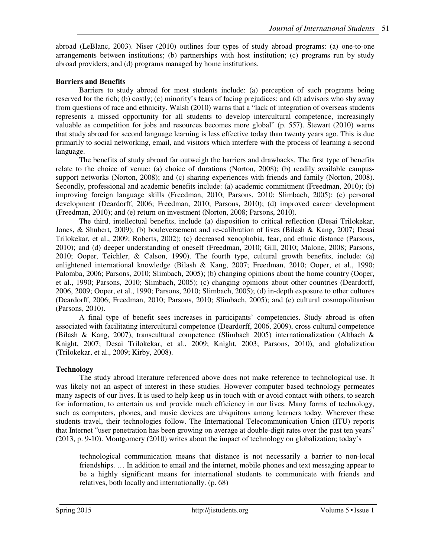abroad (LeBlanc, 2003). Niser (2010) outlines four types of study abroad programs: (a) one-to-one arrangements between institutions; (b) partnerships with host institution; (c) programs run by study abroad providers; and (d) programs managed by home institutions.

## **Barriers and Benefits**

Barriers to study abroad for most students include: (a) perception of such programs being reserved for the rich; (b) costly; (c) minority's fears of facing prejudices; and (d) advisors who shy away from questions of race and ethnicity. Walsh (2010) warns that a "lack of integration of overseas students represents a missed opportunity for all students to develop intercultural competence, increasingly valuable as competition for jobs and resources becomes more global" (p. 557). Stewart (2010) warns that study abroad for second language learning is less effective today than twenty years ago. This is due primarily to social networking, email, and visitors which interfere with the process of learning a second language.

The benefits of study abroad far outweigh the barriers and drawbacks. The first type of benefits relate to the choice of venue: (a) choice of durations (Norton, 2008); (b) readily available campussupport networks (Norton, 2008); and (c) sharing experiences with friends and family (Norton, 2008). Secondly, professional and academic benefits include: (a) academic commitment (Freedman, 2010); (b) improving foreign language skills (Freedman, 2010; Parsons, 2010; Slimbach, 2005); (c) personal development (Deardorff, 2006; Freedman, 2010; Parsons, 2010); (d) improved career development (Freedman, 2010); and (e) return on investment (Norton, 2008; Parsons, 2010).

The third, intellectual benefits, include (a) disposition to critical reflection (Desai Trilokekar, Jones, & Shubert, 2009); (b) bouleversement and re-calibration of lives (Bilash & Kang, 2007; Desai Trilokekar, et al., 2009; Roberts, 2002); (c) decreased xenophobia, fear, and ethnic distance (Parsons, 2010); and (d) deeper understanding of oneself (Freedman, 2010; Gill, 2010; Malone, 2008; Parsons, 2010; Ooper, Teichler, & Calson, 1990). The fourth type, cultural growth benefits, include: (a) enlightened international knowledge (Bilash & Kang, 2007; Freedman, 2010; Ooper, et al., 1990; Palomba, 2006; Parsons, 2010; Slimbach, 2005); (b) changing opinions about the home country (Ooper, et al., 1990; Parsons, 2010; Slimbach, 2005); (c) changing opinions about other countries (Deardorff, 2006, 2009; Ooper, et al., 1990; Parsons, 2010; Slimbach, 2005); (d) in-depth exposure to other cultures (Deardorff, 2006; Freedman, 2010; Parsons, 2010; Slimbach, 2005); and (e) cultural cosmopolitanism (Parsons, 2010).

A final type of benefit sees increases in participants' competencies. Study abroad is often associated with facilitating intercultural competence (Deardorff, 2006, 2009), cross cultural competence (Bilash & Kang, 2007), transcultural competence (Slimbach 2005) internationalization (Altbach & Knight, 2007; Desai Trilokekar, et al., 2009; Knight, 2003; Parsons, 2010), and globalization (Trilokekar, et al., 2009; Kirby, 2008).

# **Technology**

The study abroad literature referenced above does not make reference to technological use. It was likely not an aspect of interest in these studies. However computer based technology permeates many aspects of our lives. It is used to help keep us in touch with or avoid contact with others, to search for information, to entertain us and provide much efficiency in our lives. Many forms of technology, such as computers, phones, and music devices are ubiquitous among learners today. Wherever these students travel, their technologies follow. The International Telecommunication Union (ITU) reports that Internet "user penetration has been growing on average at double-digit rates over the past ten years" (2013, p. 9-10). Montgomery (2010) writes about the impact of technology on globalization; today's

technological communication means that distance is not necessarily a barrier to non-local friendships. … In addition to email and the internet, mobile phones and text messaging appear to be a highly significant means for international students to communicate with friends and relatives, both locally and internationally. (p. 68)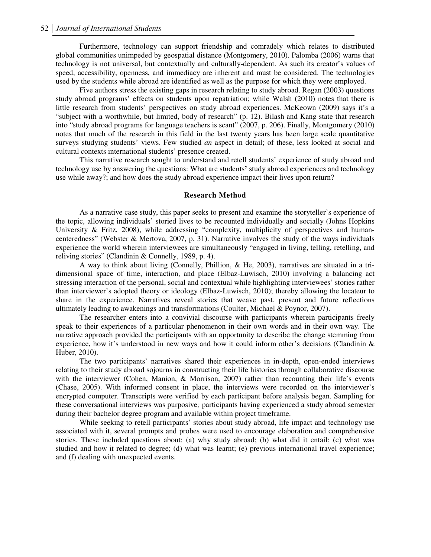Furthermore, technology can support friendship and comradely which relates to distributed global communities unimpeded by geospatial distance (Montgomery, 2010). Palomba (2006) warns that technology is not universal, but contextually and culturally-dependent. As such its creator's values of speed, accessibility, openness, and immediacy are inherent and must be considered. The technologies used by the students while abroad are identified as well as the purpose for which they were employed.

Five authors stress the existing gaps in research relating to study abroad. Regan (2003) questions study abroad programs' effects on students upon repatriation; while Walsh (2010) notes that there is little research from students' perspectives on study abroad experiences. McKeown (2009) says it's a "subject with a worthwhile, but limited, body of research" (p. 12). Bilash and Kang state that research into "study abroad programs for language teachers is scant" (2007, p. 206). Finally, Montgomery (2010) notes that much of the research in this field in the last twenty years has been large scale quantitative surveys studying students' views. Few studied *an* aspect in detail; of these, less looked at social and cultural contexts international students' presence created.

This narrative research sought to understand and retell students' experience of study abroad and technology use by answering the questions: What are students**'** study abroad experiences and technology use while away?; and how does the study abroad experience impact their lives upon return?

#### **Research Method**

As a narrative case study, this paper seeks to present and examine the storyteller's experience of the topic, allowing individuals' storied lives to be recounted individually and socially (Johns Hopkins University & Fritz, 2008), while addressing "complexity, multiplicity of perspectives and humancenteredness" (Webster & Mertova, 2007, p. 31). Narrative involves the study of the ways individuals experience the world wherein interviewees are simultaneously "engaged in living, telling, retelling, and reliving stories" (Clandinin & Connelly, 1989, p. 4).

A way to think about living (Connelly, Phillion, & He, 2003), narratives are situated in a tridimensional space of time, interaction, and place (Elbaz-Luwisch, 2010) involving a balancing act stressing interaction of the personal, social and contextual while highlighting interviewees' stories rather than interviewer's adopted theory or ideology (Elbaz-Luwisch, 2010); thereby allowing the locateur to share in the experience. Narratives reveal stories that weave past, present and future reflections ultimately leading to awakenings and transformations (Coulter, Michael & Poynor, 2007).

The researcher enters into a convivial discourse with participants wherein participants freely speak to their experiences of a particular phenomenon in their own words and in their own way. The narrative approach provided the participants with an opportunity to describe the change stemming from experience, how it's understood in new ways and how it could inform other's decisions (Clandinin  $\&$ Huber, 2010).

The two participants' narratives shared their experiences in in-depth, open-ended interviews relating to their study abroad sojourns in constructing their life histories through collaborative discourse with the interviewer (Cohen, Manion, & Morrison, 2007) rather than recounting their life's events (Chase, 2005). With informed consent in place, the interviews were recorded on the interviewer's encrypted computer. Transcripts were verified by each participant before analysis began. Sampling for these conversational interviews was purposive*;* participants having experienced a study abroad semester during their bachelor degree program and available within project timeframe.

While seeking to retell participants' stories about study abroad, life impact and technology use associated with it, several prompts and probes were used to encourage elaboration and comprehensive stories. These included questions about: (a) why study abroad; (b) what did it entail; (c) what was studied and how it related to degree; (d) what was learnt; (e) previous international travel experience; and (f) dealing with unexpected events.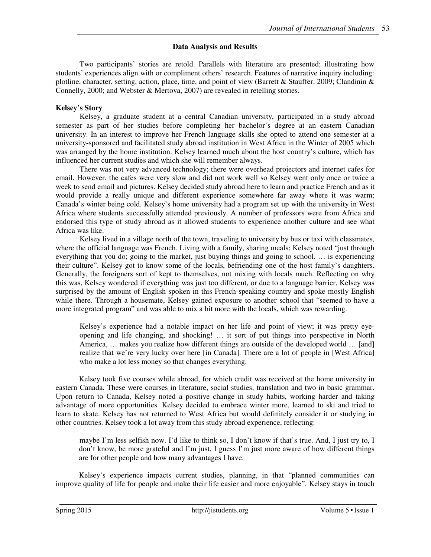### **Data Analysis and Results**

Two participants' stories are retold. Parallels with literature are presented; illustrating how students' experiences align with or compliment others' research. Features of narrative inquiry including: plotline, character, setting, action, place, time, and point of view (Barrett & Stauffer, 2009; Clandinin & Connelly, 2000; and Webster & Mertova, 2007) are revealed in retelling stories.

### **Kelsey's Story**

Kelsey, a graduate student at a central Canadian university, participated in a study abroad semester as part of her studies before completing her bachelor's degree at an eastern Canadian university. In an interest to improve her French language skills she opted to attend one semester at a university-sponsored and facilitated study abroad institution in West Africa in the Winter of 2005 which was arranged by the home institution. Kelsey learned much about the host country's culture, which has influenced her current studies and which she will remember always.

There was not very advanced technology; there were overhead projectors and internet cafes for email. However, the cafes were very slow and did not work well so Kelsey went only once or twice a week to send email and pictures. Kelsey decided study abroad here to learn and practice French and as it would provide a really unique and different experience somewhere far away where it was warm; Canada's winter being cold. Kelsey's home university had a program set up with the university in West Africa where students successfully attended previously. A number of professors were from Africa and endorsed this type of study abroad as it allowed students to experience another culture and see what Africa was like.

Kelsey lived in a village north of the town, traveling to university by bus or taxi with classmates, where the official language was French. Living with a family, sharing meals; Kelsey noted "just through everything that you do; going to the market, just buying things and going to school. … is experiencing their culture". Kelsey got to know some of the locals, befriending one of the host family's daughters. Generally, the foreigners sort of kept to themselves, not mixing with locals much. Reflecting on why this was, Kelsey wondered if everything was just too different, or due to a language barrier. Kelsey was surprised by the amount of English spoken in this French-speaking country and spoke mostly English while there. Through a housemate, Kelsey gained exposure to another school that "seemed to have a more integrated program" and was able to mix a bit more with the locals, which was rewarding.

Kelsey's experience had a notable impact on her life and point of view; it was pretty eyeopening and life changing, and shocking! … it sort of put things into perspective in North America, … makes you realize how different things are outside of the developed world … [and] realize that we're very lucky over here [in Canada]. There are a lot of people in [West Africa] who make a lot less money so that changes everything.

Kelsey took five courses while abroad, for which credit was received at the home university in eastern Canada. These were courses in literature, social studies, translation and two in basic grammar. Upon return to Canada, Kelsey noted a positive change in study habits, working harder and taking advantage of more opportunities. Kelsey decided to embrace winter more, learned to ski and tried to learn to skate. Kelsey has not returned to West Africa but would definitely consider it or studying in other countries. Kelsey took a lot away from this study abroad experience, reflecting:

maybe I'm less selfish now. I'd like to think so, I don't know if that's true. And, I just try to, I don't know, be more grateful and I'm just, I guess I'm just more aware of how different things are for other people and how many advantages I have.

Kelsey's experience impacts current studies, planning, in that "planned communities can improve quality of life for people and make their life easier and more enjoyable". Kelsey stays in touch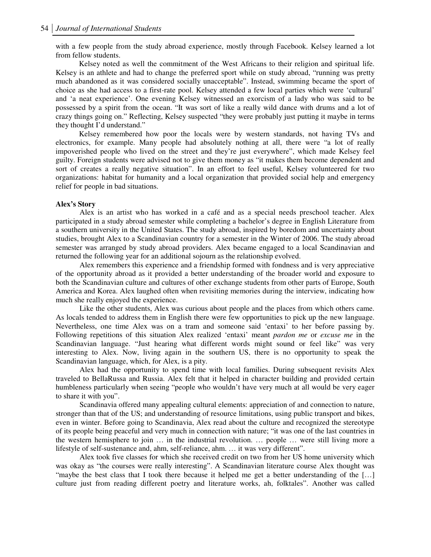with a few people from the study abroad experience, mostly through Facebook. Kelsey learned a lot from fellow students.

Kelsey noted as well the commitment of the West Africans to their religion and spiritual life. Kelsey is an athlete and had to change the preferred sport while on study abroad, "running was pretty much abandoned as it was considered socially unacceptable". Instead, swimming became the sport of choice as she had access to a first-rate pool. Kelsey attended a few local parties which were 'cultural' and 'a neat experience'. One evening Kelsey witnessed an exorcism of a lady who was said to be possessed by a spirit from the ocean. "It was sort of like a really wild dance with drums and a lot of crazy things going on." Reflecting, Kelsey suspected "they were probably just putting it maybe in terms they thought I'd understand."

Kelsey remembered how poor the locals were by western standards, not having TVs and electronics, for example. Many people had absolutely nothing at all, there were "a lot of really impoverished people who lived on the street and they're just everywhere", which made Kelsey feel guilty. Foreign students were advised not to give them money as "it makes them become dependent and sort of creates a really negative situation". In an effort to feel useful, Kelsey volunteered for two organizations: habitat for humanity and a local organization that provided social help and emergency relief for people in bad situations.

### **Alex's Story**

Alex is an artist who has worked in a café and as a special needs preschool teacher. Alex participated in a study abroad semester while completing a bachelor's degree in English Literature from a southern university in the United States. The study abroad, inspired by boredom and uncertainty about studies, brought Alex to a Scandinavian country for a semester in the Winter of 2006. The study abroad semester was arranged by study abroad providers. Alex became engaged to a local Scandinavian and returned the following year for an additional sojourn as the relationship evolved.

Alex remembers this experience and a friendship formed with fondness and is very appreciative of the opportunity abroad as it provided a better understanding of the broader world and exposure to both the Scandinavian culture and cultures of other exchange students from other parts of Europe, South America and Korea. Alex laughed often when revisiting memories during the interview, indicating how much she really enjoyed the experience.

Like the other students, Alex was curious about people and the places from which others came. As locals tended to address them in English there were few opportunities to pick up the new language. Nevertheless, one time Alex was on a tram and someone said 'entaxi' to her before passing by. Following repetitions of this situation Alex realized 'entaxi' meant *pardon me* or *excuse me* in the Scandinavian language. "Just hearing what different words might sound or feel like" was very interesting to Alex. Now, living again in the southern US, there is no opportunity to speak the Scandinavian language, which, for Alex, is a pity.

Alex had the opportunity to spend time with local families. During subsequent revisits Alex traveled to BellaRussa and Russia. Alex felt that it helped in character building and provided certain humbleness particularly when seeing "people who wouldn't have very much at all would be very eager to share it with you".

Scandinavia offered many appealing cultural elements: appreciation of and connection to nature, stronger than that of the US; and understanding of resource limitations, using public transport and bikes, even in winter. Before going to Scandinavia, Alex read about the culture and recognized the stereotype of its people being peaceful and very much in connection with nature; "it was one of the last countries in the western hemisphere to join … in the industrial revolution. … people … were still living more a lifestyle of self-sustenance and, ahm, self-reliance, ahm. … it was very different".

Alex took five classes for which she received credit on two from her US home university which was okay as "the courses were really interesting". A Scandinavian literature course Alex thought was "maybe the best class that I took there because it helped me get a better understanding of the […] culture just from reading different poetry and literature works, ah, folktales". Another was called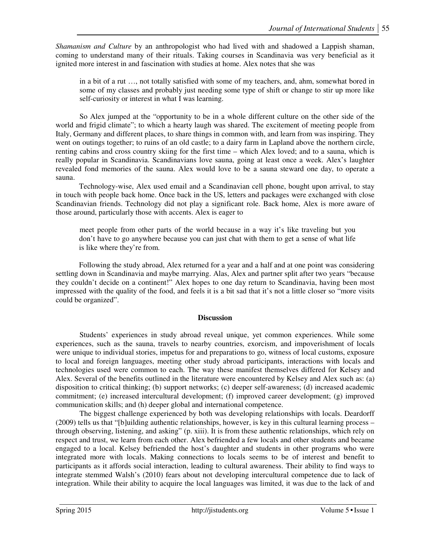*Shamanism and Culture* by an anthropologist who had lived with and shadowed a Lappish shaman, coming to understand many of their rituals. Taking courses in Scandinavia was very beneficial as it ignited more interest in and fascination with studies at home. Alex notes that she was

in a bit of a rut …, not totally satisfied with some of my teachers, and, ahm, somewhat bored in some of my classes and probably just needing some type of shift or change to stir up more like self-curiosity or interest in what I was learning.

So Alex jumped at the "opportunity to be in a whole different culture on the other side of the world and frigid climate"; to which a hearty laugh was shared. The excitement of meeting people from Italy, Germany and different places, to share things in common with, and learn from was inspiring. They went on outings together; to ruins of an old castle; to a dairy farm in Lapland above the northern circle, renting cabins and cross country skiing for the first time – which Alex loved; and to a sauna, which is really popular in Scandinavia. Scandinavians love sauna, going at least once a week. Alex's laughter revealed fond memories of the sauna. Alex would love to be a sauna steward one day, to operate a sauna.

Technology-wise, Alex used email and a Scandinavian cell phone, bought upon arrival, to stay in touch with people back home. Once back in the US, letters and packages were exchanged with close Scandinavian friends. Technology did not play a significant role. Back home, Alex is more aware of those around, particularly those with accents. Alex is eager to

meet people from other parts of the world because in a way it's like traveling but you don't have to go anywhere because you can just chat with them to get a sense of what life is like where they're from.

Following the study abroad, Alex returned for a year and a half and at one point was considering settling down in Scandinavia and maybe marrying. Alas, Alex and partner split after two years "because they couldn't decide on a continent!" Alex hopes to one day return to Scandinavia, having been most impressed with the quality of the food, and feels it is a bit sad that it's not a little closer so "more visits could be organized".

### **Discussion**

Students' experiences in study abroad reveal unique, yet common experiences. While some experiences, such as the sauna, travels to nearby countries, exorcism, and impoverishment of locals were unique to individual stories, impetus for and preparations to go, witness of local customs, exposure to local and foreign languages, meeting other study abroad participants, interactions with locals and technologies used were common to each. The way these manifest themselves differed for Kelsey and Alex. Several of the benefits outlined in the literature were encountered by Kelsey and Alex such as: (a) disposition to critical thinking; (b) support networks; (c) deeper self-awareness; (d) increased academic commitment; (e) increased intercultural development; (f) improved career development; (g) improved communication skills; and (h) deeper global and international competence.

The biggest challenge experienced by both was developing relationships with locals. Deardorff (2009) tells us that "[b]uilding authentic relationships, however, is key in this cultural learning process – through observing, listening, and asking" (p. xiii). It is from these authentic relationships, which rely on respect and trust, we learn from each other. Alex befriended a few locals and other students and became engaged to a local. Kelsey befriended the host's daughter and students in other programs who were integrated more with locals. Making connections to locals seems to be of interest and benefit to participants as it affords social interaction, leading to cultural awareness. Their ability to find ways to integrate stemmed Walsh's (2010) fears about not developing intercultural competence due to lack of integration. While their ability to acquire the local languages was limited, it was due to the lack of and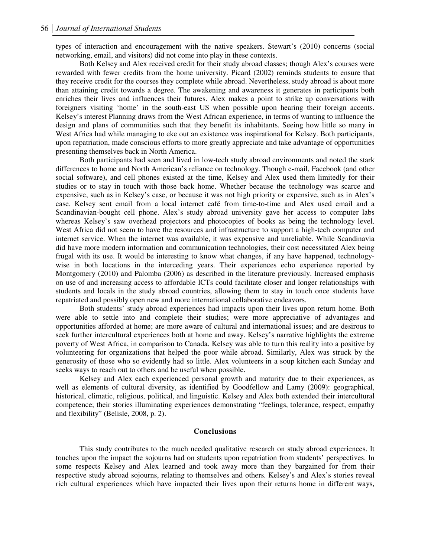types of interaction and encouragement with the native speakers. Stewart's (2010) concerns (social networking, email, and visitors) did not come into play in these contexts.

Both Kelsey and Alex received credit for their study abroad classes; though Alex's courses were rewarded with fewer credits from the home university. Picard (2002) reminds students to ensure that they receive credit for the courses they complete while abroad. Nevertheless, study abroad is about more than attaining credit towards a degree. The awakening and awareness it generates in participants both enriches their lives and influences their futures. Alex makes a point to strike up conversations with foreigners visiting 'home' in the south-east US when possible upon hearing their foreign accents. Kelsey's interest Planning draws from the West African experience, in terms of wanting to influence the design and plans of communities such that they benefit its inhabitants. Seeing how little so many in West Africa had while managing to eke out an existence was inspirational for Kelsey. Both participants, upon repatriation, made conscious efforts to more greatly appreciate and take advantage of opportunities presenting themselves back in North America.

Both participants had seen and lived in low-tech study abroad environments and noted the stark differences to home and North American's reliance on technology. Though e-mail, Facebook (and other social software), and cell phones existed at the time, Kelsey and Alex used them limitedly for their studies or to stay in touch with those back home. Whether because the technology was scarce and expensive, such as in Kelsey's case, or because it was not high priority or expensive, such as in Alex's case. Kelsey sent email from a local internet café from time-to-time and Alex used email and a Scandinavian-bought cell phone. Alex's study abroad university gave her access to computer labs whereas Kelsey's saw overhead projectors and photocopies of books as being the technology level. West Africa did not seem to have the resources and infrastructure to support a high-tech computer and internet service. When the internet was available, it was expensive and unreliable. While Scandinavia did have more modern information and communication technologies, their cost necessitated Alex being frugal with its use. It would be interesting to know what changes, if any have happened, technologywise in both locations in the interceding years. Their experiences echo experience reported by Montgomery (2010) and Palomba (2006) as described in the literature previously. Increased emphasis on use of and increasing access to affordable ICTs could facilitate closer and longer relationships with students and locals in the study abroad countries, allowing them to stay in touch once students have repatriated and possibly open new and more international collaborative endeavors.

Both students' study abroad experiences had impacts upon their lives upon return home. Both were able to settle into and complete their studies; were more appreciative of advantages and opportunities afforded at home; are more aware of cultural and international issues; and are desirous to seek further intercultural experiences both at home and away. Kelsey's narrative highlights the extreme poverty of West Africa, in comparison to Canada. Kelsey was able to turn this reality into a positive by volunteering for organizations that helped the poor while abroad. Similarly, Alex was struck by the generosity of those who so evidently had so little. Alex volunteers in a soup kitchen each Sunday and seeks ways to reach out to others and be useful when possible.

Kelsey and Alex each experienced personal growth and maturity due to their experiences, as well as elements of cultural diversity, as identified by Goodfellow and Lamy (2009): geographical, historical, climatic, religious, political, and linguistic. Kelsey and Alex both extended their intercultural competence; their stories illuminating experiences demonstrating "feelings, tolerance, respect, empathy and flexibility" (Belisle, 2008, p. 2).

#### **Conclusions**

This study contributes to the much needed qualitative research on study abroad experiences. It touches upon the impact the sojourns had on students upon repatriation from students' perspectives. In some respects Kelsey and Alex learned and took away more than they bargained for from their respective study abroad sojourns, relating to themselves and others. Kelsey's and Alex's stories reveal rich cultural experiences which have impacted their lives upon their returns home in different ways,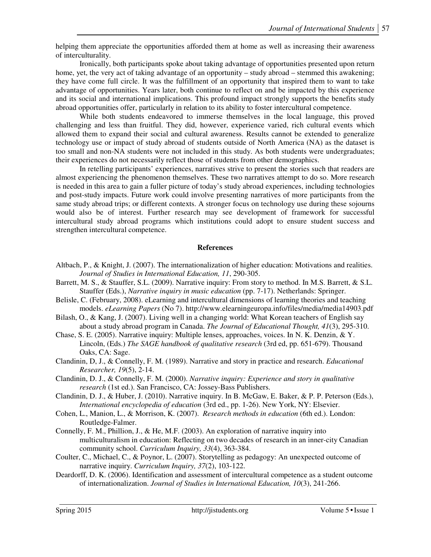helping them appreciate the opportunities afforded them at home as well as increasing their awareness of interculturality.

Ironically, both participants spoke about taking advantage of opportunities presented upon return home, yet, the very act of taking advantage of an opportunity – study abroad – stemmed this awakening; they have come full circle. It was the fulfillment of an opportunity that inspired them to want to take advantage of opportunities. Years later, both continue to reflect on and be impacted by this experience and its social and international implications. This profound impact strongly supports the benefits study abroad opportunities offer, particularly in relation to its ability to foster intercultural competence.

While both students endeavored to immerse themselves in the local language, this proved challenging and less than fruitful. They did, however, experience varied, rich cultural events which allowed them to expand their social and cultural awareness. Results cannot be extended to generalize technology use or impact of study abroad of students outside of North America (NA) as the dataset is too small and non-NA students were not included in this study. As both students were undergraduates; their experiences do not necessarily reflect those of students from other demographics.

In retelling participants' experiences, narratives strive to present the stories such that readers are almost experiencing the phenomenon themselves. These two narratives attempt to do so. More research is needed in this area to gain a fuller picture of today's study abroad experiences, including technologies and post-study impacts. Future work could involve presenting narratives of more participants from the same study abroad trips; or different contexts. A stronger focus on technology use during these sojourns would also be of interest. Further research may see development of framework for successful intercultural study abroad programs which institutions could adopt to ensure student success and strengthen intercultural competence.

### **References**

- Altbach, P., & Knight, J. (2007). The internationalization of higher education: Motivations and realities. *Journal of Studies in International Education, 11*, 290-305.
- Barrett, M. S., & Stauffer, S.L. (2009). Narrative inquiry: From story to method. In M.S. Barrett, & S.L. Stauffer (Eds.), *Narrative inquiry in music education* (pp. 7-17). Netherlands: Springer.
- Belisle, C. (February, 2008). eLearning and intercultural dimensions of learning theories and teaching models. *eLearning Papers* (No 7). http://www.elearningeuropa.info/files/media/media14903.pdf
- Bilash, O., & Kang, J. (2007). Living well in a changing world: What Korean teachers of English say about a study abroad program in Canada. *The Journal of Educational Thought, 41*(3), 295-310.
- Chase, S. E. (2005). Narrative inquiry: Multiple lenses, approaches, voices. In N. K. Denzin, & Y. Lincoln, (Eds.) *The SAGE handbook of qualitative research* (3rd ed, pp. 651-679). Thousand Oaks, CA: Sage.
- Clandinin, D, J., & Connelly, F. M. (1989). Narrative and story in practice and research. *Educational Researcher, 19*(5), 2-14.
- Clandinin, D. J., & Connelly, F. M. (2000). *Narrative inquiry: Experience and story in qualitative research* (1st ed.). San Francisco, CA: Jossey-Bass Publishers.
- Clandinin, D. J., & Huber, J. (2010). Narrative inquiry. In B. McGaw, E. Baker, & P. P. Peterson (Eds.), *International encyclopedia of education* (3rd ed., pp. 1-26). New York, NY: Elsevier.
- Cohen, L., Manion, L., & Morrison, K. (2007). *Research methods in education* (6th ed.). London: Routledge-Falmer.
- Connelly, F. M., Phillion, J., & He, M.F. (2003). An exploration of narrative inquiry into multiculturalism in education: Reflecting on two decades of research in an inner-city Canadian community school. *Curriculum Inquiry, 33*(4), 363-384.
- Coulter, C., Michael, C., & Poynor, L. (2007). Storytelling as pedagogy: An unexpected outcome of narrative inquiry. *Curriculum Inquiry, 37*(2), 103-122.
- Deardorff, D. K. (2006). Identification and assessment of intercultural competence as a student outcome of internationalization. *Journal of Studies in International Education, 10*(3), 241-266.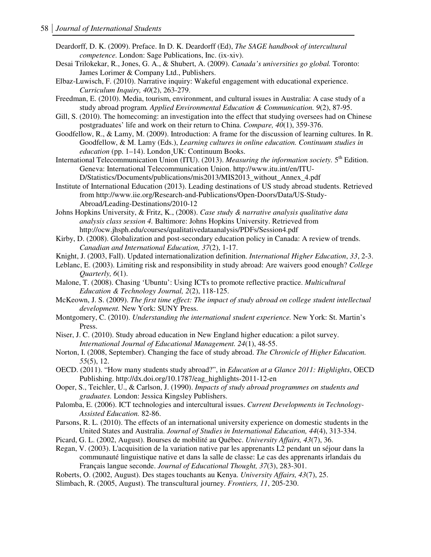Deardorff, D. K. (2009). Preface. In D. K. Deardorff (Ed), *The SAGE handbook of intercultural competence.* London: Sage Publications, Inc. (ix-xiv).

Desai Trilokekar, R., Jones, G. A., & Shubert, A. (2009). *Canada's universities go global.* Toronto: James Lorimer & Company Ltd., Publishers.

Elbaz-Luwisch, F. (2010). Narrative inquiry: Wakeful engagement with educational experience. *Curriculum Inquiry, 40*(2), 263-279.

Freedman, E. (2010). Media, tourism, environment, and cultural issues in Australia: A case study of a study abroad program*. Applied Environmental Education & Communication. 9*(2), 87-95.

Gill, S. (2010). The homecoming: an investigation into the effect that studying oversees had on Chinese postgraduates' life and work on their return to China. *Compare, 40*(1), 359-376.

Goodfellow, R., & Lamy, M. (2009). Introduction: A frame for the discussion of learning cultures. In R. Goodfellow, & M. Lamy (Eds.), *Learning cultures in online education. Continuum studies in education* (pp. 1–14). London¸UK: Continuum Books.

International Telecommunication Union (ITU). (2013). *Measuring the information society*. 5<sup>th</sup> Edition. Geneva: International Telecommunication Union. http://www.itu.int/en/ITU-D/Statistics/Documents/publications/mis2013/MIS2013\_without\_Annex\_4.pdf

Institute of International Education (2013). Leading destinations of US study abroad students. Retrieved from http://www.iie.org/Research-and-Publications/Open-Doors/Data/US-Study-Abroad/Leading-Destinations/2010-12

Johns Hopkins University, & Fritz, K., (2008). *Case study & narrative analysis qualitative data analysis class session 4.* Baltimore: Johns Hopkins University. Retrieved from http://ocw.jhsph.edu/courses/qualitativedataanalysis/PDFs/Session4.pdf

Kirby, D. (2008). Globalization and post-secondary education policy in Canada: A review of trends. *Canadian and International Education, 37*(2), 1-17.

Knight, J. (2003, Fall). Updated internationalization definition. *International Higher Education*, *33*, 2-3.

Leblanc, E. (2003). Limiting risk and responsibility in study abroad: Are waivers good enough? *College Quarterly, 6*(1).

Malone, T. (2008). Chasing 'Ubuntu': Using ICTs to promote reflective practice. *Multicultural Education & Technology Journal, 2*(2), 118-125.

McKeown, J. S. (2009). *The first time effect: The impact of study abroad on college student intellectual development.* New York: SUNY Press.

- Montgomery, C. (2010). *Understanding the international student experience.* New York: St. Martin's Press.
- Niser, J. C. (2010). Study abroad education in New England higher education: a pilot survey. *International Journal of Educational Management. 24*(1), 48-55.
- Norton, I. (2008, September). Changing the face of study abroad. *The Chronicle of Higher Education. 55*(5), 12.
- OECD. (2011). "How many students study abroad?", in *Education at a Glance 2011: Highlights*, OECD Publishing. http://dx.doi.org/10.1787/eag\_highlights-2011-12-en
- Ooper, S., Teichler, U., & Carlson, J. (1990). *Impacts of study abroad programmes on students and graduates.* London: Jessica Kingsley Publishers.
- Palomba, E. (2006). ICT technologies and intercultural issues. *Current Developments in Technology-Assisted Education.* 82-86.

Parsons, R. L. (2010). The effects of an international university experience on domestic students in the United States and Australia. *Journal of Studies in International Education, 44*(4), 313-334.

Picard, G. L. (2002, August). Bourses de mobilité au Québec. *University Affairs, 43*(7), 36.

Regan, V. (2003). L'acquisition de la variation native par les apprenants L2 pendant un séjour dans la communauté linguistique native et dans la salle de classe: Le cas des apprenants irlandais du Français langue seconde. *Journal of Educational Thought, 37*(3), 283-301.

Roberts, O. (2002, August). Des stages touchants au Kenya. *University Affairs, 43*(7), 25.

Slimbach, R. (2005, August). The transcultural journey. *Frontiers, 11*, 205-230.